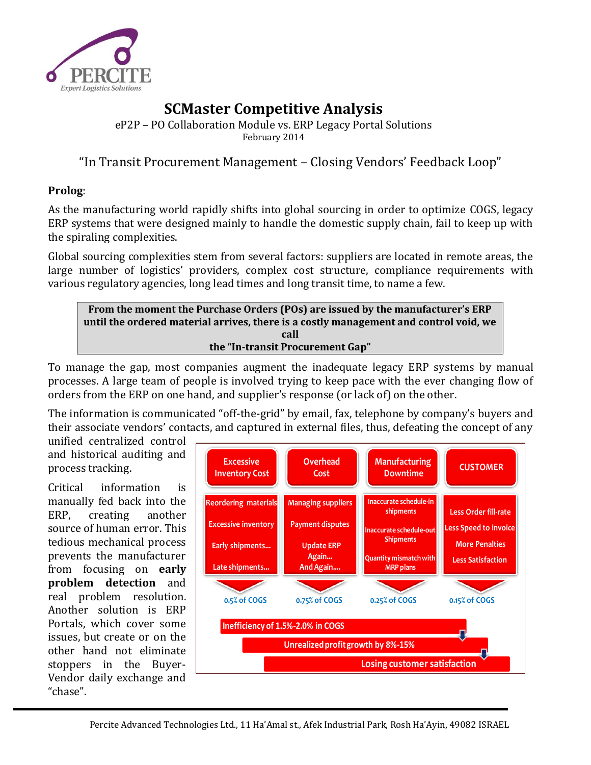

# **SCMaster Competitive Analysis**

eP2P – PO Collaboration Module vs. ERP Legacy Portal Solutions February 2014

# "In Transit Procurement Management – Closing Vendors' Feedback Loop"

#### **Prolog**:

As the manufacturing world rapidly shifts into global sourcing in order to optimize COGS, legacy ERP systems that were designed mainly to handle the domestic supply chain, fail to keep up with the spiraling complexities.

Global sourcing complexities stem from several factors: suppliers are located in remote areas, the large number of logistics' providers, complex cost structure, compliance requirements with various regulatory agencies, long lead times and long transit time, to name a few.



To manage the gap, most companies augment the inadequate legacy ERP systems by manual processes. A large team of people is involved trying to keep pace with the ever changing flow of orders from the ERP on one hand, and supplier's response (or lack of) on the other.

The information is communicated "off-the-grid" by email, fax, telephone by company's buyers and their associate vendors' contacts, and captured in external files, thus, defeating the concept of any

unified centralized control and historical auditing and process tracking.

Critical information is manually fed back into the ERP, creating another source of human error. This tedious mechanical process prevents the manufacturer from focusing on **early problem detection** and real problem resolution. Another solution is ERP Portals, which cover some issues, but create or on the other hand not eliminate stoppers in the Buyer-Vendor daily exchange and "chase".

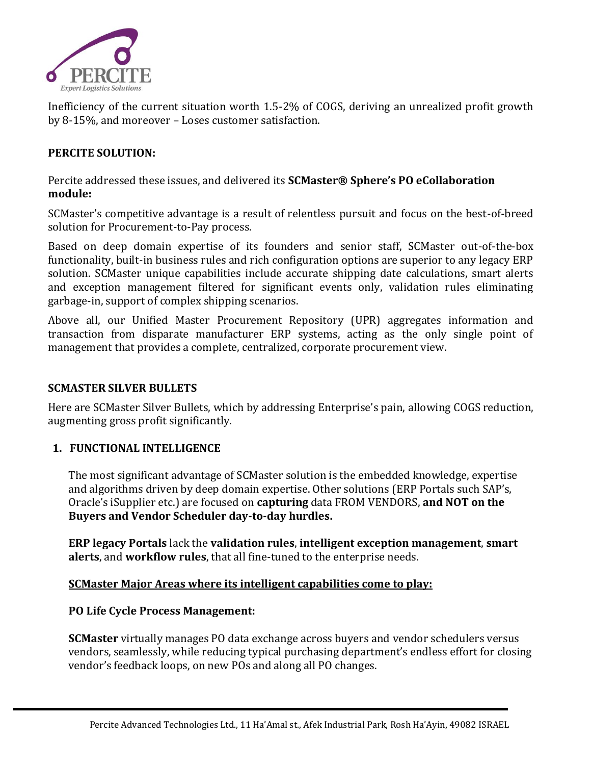

Inefficiency of the current situation worth 1.5-2% of COGS, deriving an unrealized profit growth by 8-15%, and moreover – Loses customer satisfaction.

#### **PERCITE SOLUTION:**

Percite addressed these issues, and delivered its **SCMaster® Sphere's PO eCollaboration module:**

SCMaster's competitive advantage is a result of relentless pursuit and focus on the best-of-breed solution for Procurement-to-Pay process.

Based on deep domain expertise of its founders and senior staff, SCMaster out-of-the-box functionality, built-in business rules and rich configuration options are superior to any legacy ERP solution. SCMaster unique capabilities include accurate shipping date calculations, smart alerts and exception management filtered for significant events only, validation rules eliminating garbage-in, support of complex shipping scenarios.

Above all, our Unified Master Procurement Repository (UPR) aggregates information and transaction from disparate manufacturer ERP systems, acting as the only single point of management that provides a complete, centralized, corporate procurement view.

#### **SCMASTER SILVER BULLETS**

Here are SCMaster Silver Bullets, which by addressing Enterprise's pain, allowing COGS reduction, augmenting gross profit significantly.

#### **1. FUNCTIONAL INTELLIGENCE**

The most significant advantage of SCMaster solution is the embedded knowledge, expertise and algorithms driven by deep domain expertise. Other solutions (ERP Portals such SAP's, Oracle's iSupplier etc.) are focused on **capturing** data FROM VENDORS, **and NOT on the Buyers and Vendor Scheduler day-to-day hurdles.**

**ERP legacy Portals** lack the **validation rules**, **intelligent exception management**, **smart alerts**, and **workflow rules**, that all fine-tuned to the enterprise needs.

#### **SCMaster Major Areas where its intelligent capabilities come to play:**

#### **PO Life Cycle Process Management:**

**SCMaster** virtually manages PO data exchange across buyers and vendor schedulers versus vendors, seamlessly, while reducing typical purchasing department's endless effort for closing vendor's feedback loops, on new POs and along all PO changes.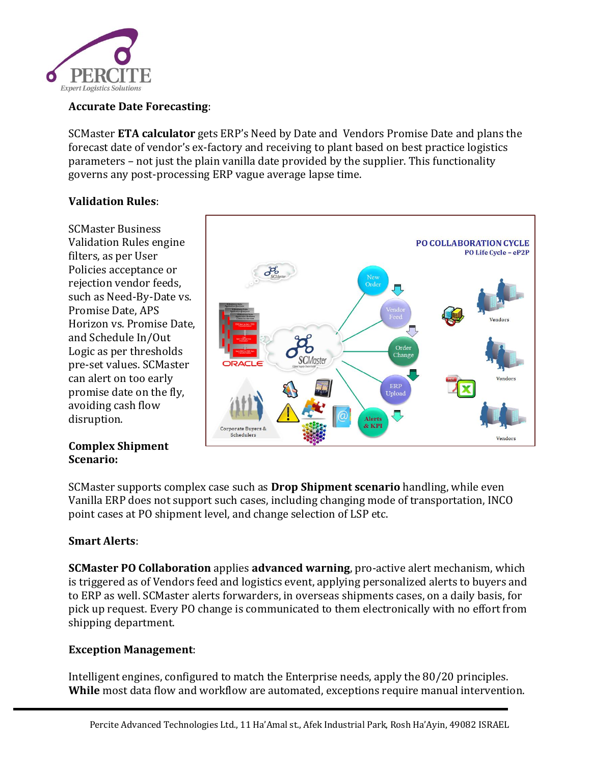

# **Accurate Date Forecasting**:

SCMaster **ETA calculator** gets ERP's Need by Date and Vendors Promise Date and plans the forecast date of vendor's ex-factory and receiving to plant based on best practice logistics parameters – not just the plain vanilla date provided by the supplier. This functionality governs any post-processing ERP vague average lapse time.

# **Validation Rules**:

SCMaster Business Validation Rules engine filters, as per User Policies acceptance or rejection vendor feeds, such as Need-By-Date vs. Promise Date, APS Horizon vs. Promise Date, and Schedule In/Out Logic as per thresholds pre-set values. SCMaster can alert on too early promise date on the fly, avoiding cash flow disruption.

#### **Complex Shipment Scenario:**

SCMaster supports complex case such as **Drop Shipment scenario** handling, while even Vanilla ERP does not support such cases, including changing mode of transportation, INCO point cases at PO shipment level, and change selection of LSP etc.

# **Smart Alerts**:

**SCMaster PO Collaboration** applies **advanced warning**, pro-active alert mechanism, which is triggered as of Vendors feed and logistics event, applying personalized alerts to buyers and to ERP as well. SCMaster alerts forwarders, in overseas shipments cases, on a daily basis, for pick up request. Every PO change is communicated to them electronically with no effort from shipping department.

# **Exception Management**:

Intelligent engines, configured to match the Enterprise needs, apply the 80/20 principles. **While** most data flow and workflow are automated, exceptions require manual intervention.

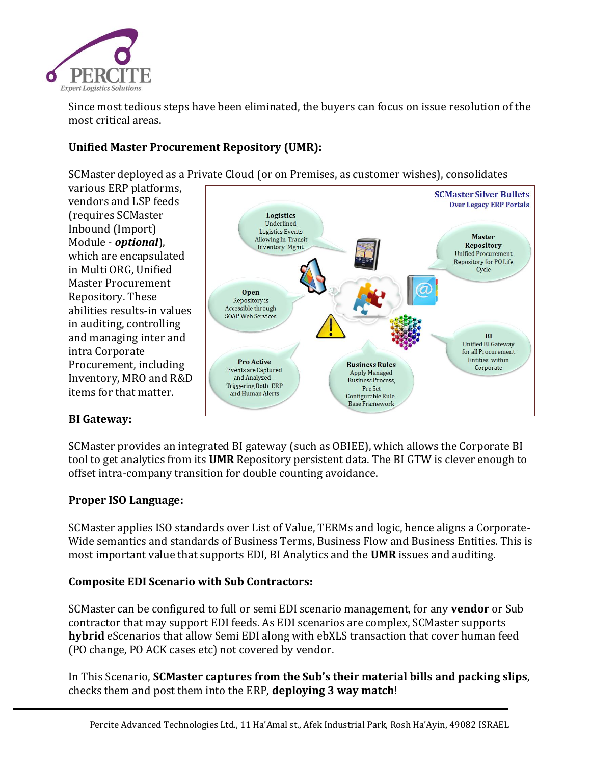

Since most tedious steps have been eliminated, the buyers can focus on issue resolution of the most critical areas.

# **Unified Master Procurement Repository (UMR):**

SCMaster deployed as a Private Cloud (or on Premises, as customer wishes), consolidates

various ERP platforms, vendors and LSP feeds (requires SCMaster Inbound (Import) Module - *optional*), which are encapsulated in Multi ORG, Unified Master Procurement Repository. These abilities results-in values in auditing, controlling and managing inter and intra Corporate Procurement, including Inventory, MRO and R&D items for that matter.

#### **BI Gateway:**

and Human Alerts Configurable Rule-**Base Framework** SCMaster provides an integrated BI gateway (such as OBIEE), which allows the Corporate BI tool to get analytics from its **UMR** Repository persistent data. The BI GTW is clever enough to

#### **Proper ISO Language:**

SCMaster applies ISO standards over List of Value, TERMs and logic, hence aligns a Corporate-Wide semantics and standards of Business Terms, Business Flow and Business Entities. This is most important value that supports EDI, BI Analytics and the **UMR** issues and auditing.

#### **Composite EDI Scenario with Sub Contractors:**

offset intra-company transition for double counting avoidance.

SCMaster can be configured to full or semi EDI scenario management, for any **vendor** or Sub contractor that may support EDI feeds. As EDI scenarios are complex, SCMaster supports **hybrid** eScenarios that allow Semi EDI along with ebXLS transaction that cover human feed (PO change, PO ACK cases etc) not covered by vendor.

In This Scenario, **SCMaster captures from the Sub's their material bills and packing slips**, checks them and post them into the ERP, **deploying 3 way match**!

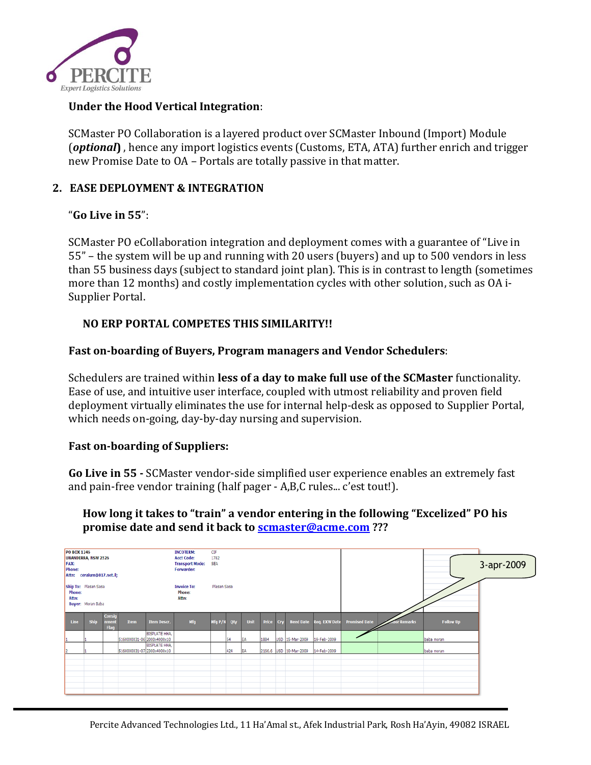

## **Under the Hood Vertical Integration**:

SCMaster PO Collaboration is a layered product over SCMaster Inbound (Import) Module (*optional***)** , hence any import logistics events (Customs, ETA, ATA) further enrich and trigger new Promise Date to OA – Portals are totally passive in that matter.

#### **2. EASE DEPLOYMENT & INTEGRATION**

## "**Go Live in 55**":

SCMaster PO eCollaboration integration and deployment comes with a guarantee of "Live in 55" – the system will be up and running with 20 users (buyers) and up to 500 vendors in less than 55 business days (subject to standard joint plan). This is in contrast to length (sometimes more than 12 months) and costly implementation cycles with other solution, such as OA i-Supplier Portal.

## **NO ERP PORTAL COMPETES THIS SIMILARITY!!**

## **Fast on-boarding of Buyers, Program managers and Vendor Schedulers**:

Schedulers are trained within **less of a day to make full use of the SCMaster** functionality. Ease of use, and intuitive user interface, coupled with utmost reliability and proven field deployment virtually eliminates the use for internal help-desk as opposed to Supplier Portal, which needs on-going, day-by-day nursing and supervision.

#### **Fast on-boarding of Suppliers:**

**Go Live in 55 -** SCMaster vendor-side simplified user experience enables an extremely fast and pain-free vendor training (half pager - A,B,C rules... c'est tout!).

## **How long it takes to "train" a vendor entering in the following "Excelized" PO his promise date and send it back to [scmaster@acme.com](mailto:scmaster@acme.com) ???**

| PO BOX 1246<br><b>UNANDERRA, NSW 2526</b><br>FAX:<br>Phone:<br>Attn: ceralum@017.net.il;<br>Ship To: Plasan Sasa<br><b>Phone:</b><br>Attn:<br>Buyer: Moran Baba |      |                         |                            |                      | <b>INCOTERM:</b><br><b>Acct Code:</b><br><b>Transport Mode:</b><br>Forwarder:<br><b>Invoice To:</b><br><b>Phone:</b><br>Attn: | CIF<br>1782<br><b>SEA</b><br>Plasan Sasa |     |             |       |     |                                    |                      | $3-apr-2009$         |             |                  |  |
|-----------------------------------------------------------------------------------------------------------------------------------------------------------------|------|-------------------------|----------------------------|----------------------|-------------------------------------------------------------------------------------------------------------------------------|------------------------------------------|-----|-------------|-------|-----|------------------------------------|----------------------|----------------------|-------------|------------------|--|
| Line                                                                                                                                                            | Ship | Consig<br>nment<br>Flaq | <b>Item</b>                | <b>Item Descr.</b>   | <b>Mfg</b>                                                                                                                    | Mfg P/N                                  | Qty | <b>Unit</b> | Price | Cry | <b>Need Date</b>                   | <b>Req. EXW Date</b> | <b>Promised Date</b> | dor Remarks | <b>Follow Up</b> |  |
| 1                                                                                                                                                               |      |                         | 5160000031-06 2000x4000x10 | <b>BISPLATE HHA</b>  |                                                                                                                               |                                          | 54  | EA          | 1884  |     | USD 15-Mar-2009                    | 19-Feb-2009          |                      |             | baba moran       |  |
| Þ                                                                                                                                                               |      |                         | 5160000031-07 2300x4000x10 | <b>BISPLATE HHA,</b> |                                                                                                                               |                                          | 424 | EA          |       |     | 2166.6 USD 10-Mar-2009 14-Feb-2009 |                      |                      |             | Ibaba moran      |  |
|                                                                                                                                                                 |      |                         |                            |                      |                                                                                                                               |                                          |     |             |       |     |                                    |                      |                      |             |                  |  |
|                                                                                                                                                                 |      |                         |                            |                      |                                                                                                                               |                                          |     |             |       |     |                                    |                      |                      |             |                  |  |
|                                                                                                                                                                 |      |                         |                            |                      |                                                                                                                               |                                          |     |             |       |     |                                    |                      |                      |             |                  |  |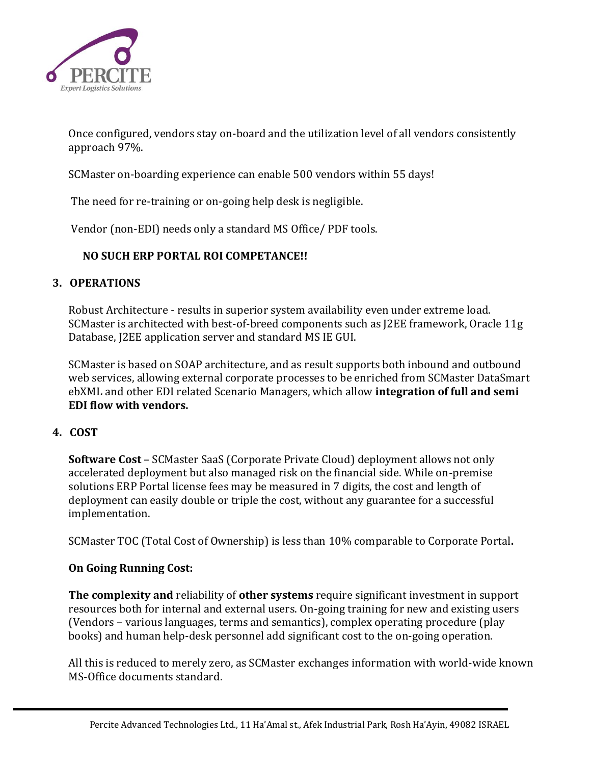

Once configured, vendors stay on-board and the utilization level of all vendors consistently approach 97%.

SCMaster on-boarding experience can enable 500 vendors within 55 days!

The need for re-training or on-going help desk is negligible.

Vendor (non-EDI) needs only a standard MS Office/ PDF tools.

# **NO SUCH ERP PORTAL ROI COMPETANCE!!**

# **3. OPERATIONS**

Robust Architecture - results in superior system availability even under extreme load. SCMaster is architected with best-of-breed components such as J2EE framework, Oracle 11g Database, J2EE application server and standard MS IE GUI.

SCMaster is based on SOAP architecture, and as result supports both inbound and outbound web services, allowing external corporate processes to be enriched from SCMaster DataSmart ebXML and other EDI related Scenario Managers, which allow **integration of full and semi EDI flow with vendors.**

# **4. COST**

**Software Cost** – SCMaster SaaS (Corporate Private Cloud) deployment allows not only accelerated deployment but also managed risk on the financial side. While on-premise solutions ERP Portal license fees may be measured in 7 digits, the cost and length of deployment can easily double or triple the cost, without any guarantee for a successful implementation.

SCMaster TOC (Total Cost of Ownership) is less than 10% comparable to Corporate Portal**.** 

# **On Going Running Cost:**

**The complexity and** reliability of **other systems** require significant investment in support resources both for internal and external users. On-going training for new and existing users (Vendors – various languages, terms and semantics), complex operating procedure (play books) and human help-desk personnel add significant cost to the on-going operation.

All this is reduced to merely zero, as SCMaster exchanges information with world-wide known MS-Office documents standard.